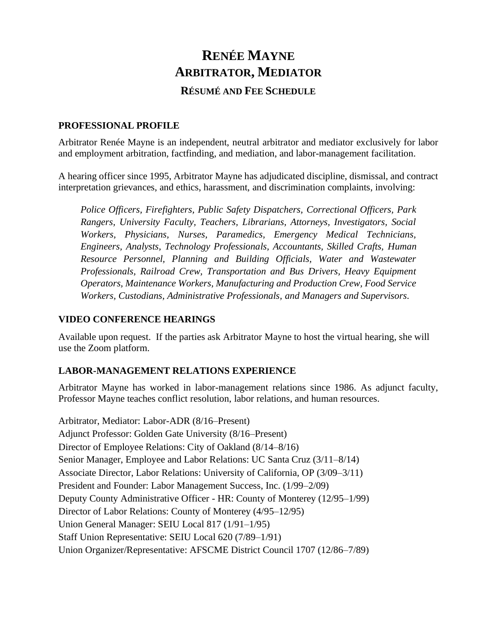# **RENÉE MAYNE ARBITRATOR, MEDIATOR RÉSUMÉ AND FEE SCHEDULE**

#### **PROFESSIONAL PROFILE**

Arbitrator Renée Mayne is an independent, neutral arbitrator and mediator exclusively for labor and employment arbitration, factfinding, and mediation, and labor-management facilitation.

A hearing officer since 1995, Arbitrator Mayne has adjudicated discipline, dismissal, and contract interpretation grievances, and ethics, harassment, and discrimination complaints, involving:

*Police Officers, Firefighters, Public Safety Dispatchers, Correctional Officers, Park Rangers, University Faculty, Teachers, Librarians, Attorneys, Investigators, Social Workers, Physicians, Nurses, Paramedics, Emergency Medical Technicians, Engineers, Analysts, Technology Professionals, Accountants, Skilled Crafts, Human Resource Personnel, Planning and Building Officials, Water and Wastewater Professionals, Railroad Crew, Transportation and Bus Drivers, Heavy Equipment Operators, Maintenance Workers, Manufacturing and Production Crew, Food Service Workers, Custodians, Administrative Professionals, and Managers and Supervisors.*

#### **VIDEO CONFERENCE HEARINGS**

Available upon request. If the parties ask Arbitrator Mayne to host the virtual hearing, she will use the Zoom platform.

#### **LABOR-MANAGEMENT RELATIONS EXPERIENCE**

Arbitrator Mayne has worked in labor-management relations since 1986. As adjunct faculty, Professor Mayne teaches conflict resolution, labor relations, and human resources.

Arbitrator, Mediator: Labor-ADR (8/16–Present) Adjunct Professor: Golden Gate University (8/16–Present) Director of Employee Relations: City of Oakland (8/14–8/16) Senior Manager, Employee and Labor Relations: UC Santa Cruz (3/11–8/14) Associate Director, Labor Relations: University of California, OP (3/09–3/11) President and Founder: Labor Management Success, Inc. (1/99–2/09) Deputy County Administrative Officer - HR: County of Monterey (12/95–1/99) Director of Labor Relations: County of Monterey (4/95–12/95) Union General Manager: SEIU Local 817 (1/91–1/95) Staff Union Representative: SEIU Local 620 (7/89–1/91) Union Organizer/Representative: AFSCME District Council 1707 (12/86–7/89)